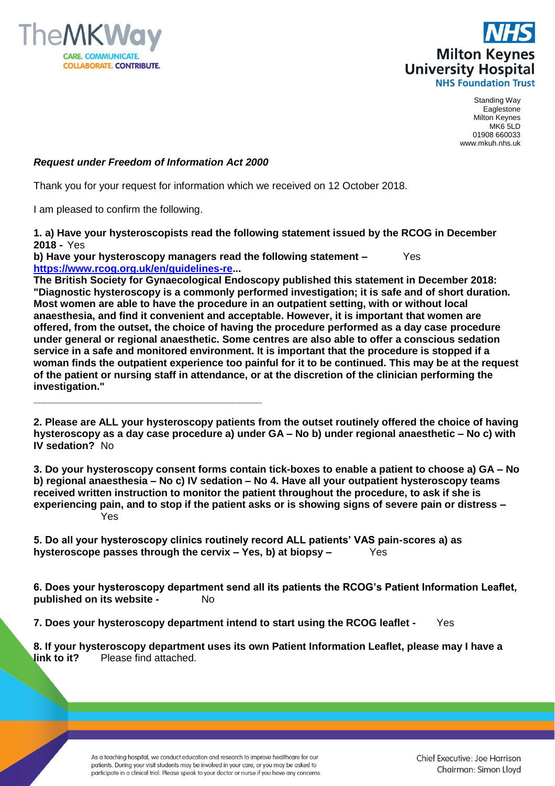



Standing Way Eaglestone Milton Keynes MK6 5LD 01908 660033 www.mkuh.nhs.uk

## *Request under Freedom of Information Act 2000*

**\_\_\_\_\_\_\_\_\_\_\_\_\_\_\_\_\_\_\_\_\_\_\_\_\_\_\_\_\_\_\_\_\_\_\_\_\_\_\_\_**

Thank you for your request for information which we received on 12 October 2018.

I am pleased to confirm the following.

**1. a) Have your hysteroscopists read the following statement issued by the RCOG in December 2018 -** Yes

**b) Have your hysteroscopy managers read the following statement –** Yes **[https://www.rcog.org.uk/en/guidelines-re.](https://www.rcog.org.uk/en/guidelines-re)..**

**The British Society for Gynaecological Endoscopy published this statement in December 2018: "Diagnostic hysteroscopy is a commonly performed investigation; it is safe and of short duration. Most women are able to have the procedure in an outpatient setting, with or without local anaesthesia, and find it convenient and acceptable. However, it is important that women are offered, from the outset, the choice of having the procedure performed as a day case procedure under general or regional anaesthetic. Some centres are also able to offer a conscious sedation service in a safe and monitored environment. It is important that the procedure is stopped if a woman finds the outpatient experience too painful for it to be continued. This may be at the request of the patient or nursing staff in attendance, or at the discretion of the clinician performing the investigation."**

**2. Please are ALL your hysteroscopy patients from the outset routinely offered the choice of having hysteroscopy as a day case procedure a) under GA – No b) under regional anaesthetic – No c) with IV sedation?** No

**3. Do your hysteroscopy consent forms contain tick-boxes to enable a patient to choose a) GA – No b) regional anaesthesia – No c) IV sedation – No 4. Have all your outpatient hysteroscopy teams received written instruction to monitor the patient throughout the procedure, to ask if she is experiencing pain, and to stop if the patient asks or is showing signs of severe pain or distress –** Yes

**5. Do all your hysteroscopy clinics routinely record ALL patients' VAS pain-scores a) as hysteroscope passes through the cervix – Yes, b) at biopsy –** Yes

**6. Does your hysteroscopy department send all its patients the RCOG's Patient Information Leaflet, published on its website -** No

**7. Does your hysteroscopy department intend to start using the RCOG leaflet -** Yes

**8. If your hysteroscopy department uses its own Patient Information Leaflet, please may I have a link to it?** Please find attached.

> As a teaching hospital, we conduct education and research to improve healthcare for our patients. During your visit students may be involved in your care, or you may be asked to participate in a clinical trial. Please speak to your doctor or nurse if you have any concerns.